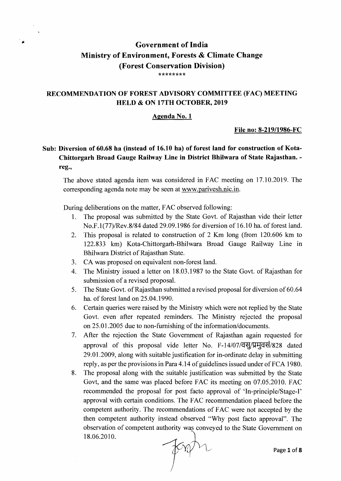# Government of India Ministry of Environment, Forests & Climate Change (Forest Conservation Division) \*\*\*\*\*\*\*\*

### RECOMMENDATION OF FOREST ADVISORY COMMITTEE (FAC) MEETING HELD & ON 17TH OCTOBER, 2019

### Agenda No.1

#### File no: 8-219/1986-FC

# Sub: Diversion of 60.68 ha (instead of 16.10 ha) of forest land for construction of Kota-Chittorgarh Broad Gauge Railway Line in District Bhilwara of State Rajasthan. reg.,

The above stated agenda item was considered in FAC meeting on 17.10.2019. The corresponding agenda note may be seen at www.parivesh.nic.in.

During deliberations on the matter, FAC observed following:

- 1. The proposal was submitted by the State Govt. of Rajasthan vide their letter No.F.1(77)/Rev.8/84 dated 29.09.1986 for diversion of 16.10 ha. of forest land.
- 2. This proposal is related to construction of 2 Km long (from 120.606 km to 122.833 km) Kota-Chittorgarh-Bhilwara Broad Gauge Railway Line in Bhilwara District of Rajasthan State.
- 3. CA was proposed on equivalent non-forest land.
- 4. The Ministry issued a letter on 18.03.1987 to the State Govt. of Rajasthan for submission of a revised proposal.
- 5. The State Govt. of Rajasthan submitted a revised proposal for diversion of 60.64 ha. of forest land on 25.04.1990.
- 6. Certain queries were raised by the Ministry which were not replied by the State Govt. even after repeated reminders. The Ministry rejected the proposal on 25.01.2005 due to non-furnishing of the information/documents.
- 7. After the rejection the State Government of Rajasthan again requested for approval of this proposal vide letter No.  $F-14/07/\overline{q}$ 29.01.2009, along with suitable justification for in-ordinate delay in submitting reply, as per the provisions in Para 4.14 of guidelines issued under of FCA 1980.
- 8. The proposal along with the suitable justification was submitted by the State Govt, and the same was placed before FAC its meeting on 07.05.2010. FAC recommended the proposal for post facto approval of 'In-principle/Stage-I' approval with certain conditions. The FAC recommendation placed before the competent authority. The recommendations of FAC were not accepted by the then competent authority instead observed "Why post facto approval". The observation of competent authority was conveyed to the State Government on 18.06.2010.  $\sqrt{2\pi}$  Page 1 of 8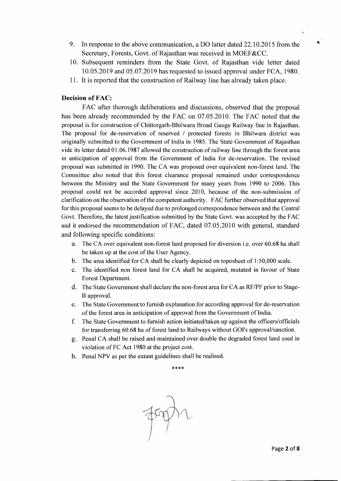- 9. In response to the above communication, a DO latter dated 22.10.2015 from the  $\rightarrow$ Secretary, Forests, Govt. of Rajasthan was received in MOEF&CC.
- 10. Subsequent reminders from the State Govt. of Rajasthan vide letter dated 10.05.2019 and 05.07.2019 has requested to issued approval under FCA, 1980.
- 11. It is reported that the construction of Railway line has already taken place.

### **Decision of FAC:**

FAC after thorough deliberations and discussions, observed that the proposal has been already recommended by the FAC on 07.05.2010. The FAC noted that the proposal is for construction of Chittorgarh-Bhilwara Broad Gauge Railway line in Rajasthan. The proposal for de-reservation of reserved / protected forests in Bhilwara district was originally submitted to the Government of India in 1985. The State Government of Rajasthan vide its letter dated 01.06.1987 allowed the construction of railway line through the forest area in anticipation of approval from the Government of India for de-reservation. The revised proposal was submitted in 1990. The CA was proposed over equivalent non-forest land. The Committee also noted that this forest clearance proposal remained under correspondence between the Ministry and the State Government for many years from 1990 to 2006. This proposal could not be accorded approval since 2010, because of the non-submission of clarification on the observation of the competent authority. FAC further observed that approval for this proposal seems to be delayed due to prolonged correspondence between and the Central Govt. Therefore, the latest justification submitted by the State Govt. was accepted by the FAC and it endorsed the recommendation of FAC, dated 07.05.2010 with general, standard and following specific conditions:

- a. The CA over equivalent non-forest land proposed for diversion i.e. over 60.68 ha shall be taken up at the cost of the User Agency.
- b. The area identified for CA shall be clearly depicted on toposheet of 1:50,000 scale.
- c. The identified non forest land for CA shall be acquired, mutated in favour of State Forest Department.
- d. The State Government shall declare the non-forest area for CA as RF/PF prior to Stage-II approval.
- e. The State Government to furnish explanation for according approval for de-reservation of the forest area in anticipation of approval from the Government of India.
- f. The State Government to furnish action initiated/taken up against the officers/officials for transferring 60.68 ha of forest land to Railways without GOl's approval/sanction.
- g. Penal CA shall be raised and maintained over double the degraded forest land used in violation of FC Act 1980 at the project cost.
- h. Penal NPV as per the extant guidelines shall be realised.

#### \*\*\*\*

 $\sqrt{2}$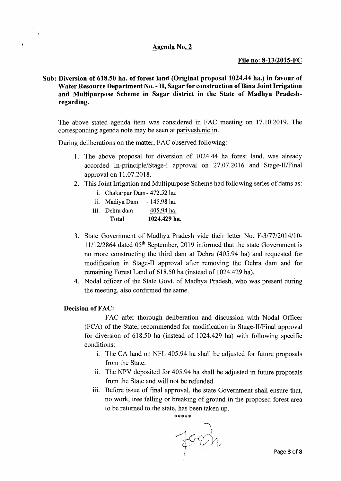### **Agenda No.2**

### **File no: 8-13/2015-FC**

**Sub: Diversion of 618.50 ha. of forest land (Original proposal 1024.44 ha.) in favour of Water Resource Department No. - II, Sagar for construction of Bina Joint Irrigation and Multipurpose Scheme in Sagar district in the State of Madhya Pradeshregarding.** 

The above stated agenda item was considered in FAC meeting on 17.10.2019. The corresponding agenda note may be seen at parivesh.nic.in.

During deliberations on the matter, FAC observed following:

- 1. The above proposal for diversion of 1024.44 ha forest land, was already accorded In-principle/Stage-I approval on 27.07.2016 and Stage-II/Final approval on 11.07.2018.
- 2. This Joint Irrigation and Multipurpose Scheme had following series of dams as:
	- i. Chakarpur Dam 472.52 ha.
	- ii. Madiya Dam 145.98 ha.
	- $iii.$  Dehra dam  $-405.94$  ha. **Total 1024.429 ha.**
- 3. State Government of Madhya Pradesh vide their letter No. F-3/77/2014/10- $11/12/2864$  dated  $05<sup>th</sup>$  September, 2019 informed that the state Government is no more constructing the third dam at Dehra (405.94 ha) and requested for modification in Stage-II approval after removing the Dehra dam and for remaining Forest Land of 618.50 ha (instead of 1024.429 ha).
- 4. Nodal officer of the State Govt. of Madhya Pradesh, who was present during the meeting, also confirmed the same.

#### **Decision of FAC:**

۰,

FAC after thorough deliberation and discussion with Nodal Officer (FCA) of the State, recommended for modification in Stage-II/Final approval for diversion of 618.50 ha (instead of 1024.429 ha) with following specific conditions:

- i. The CA land on NFL 405.94 ha shall be adjusted for future proposals from the State.
- ii. The NPV deposited for 405.94 ha shall be adjusted in future proposals from the State and will not be refunded.
- iii. Before issue of final approval, the state Government shall ensure that, no work, tree felling or breaking of ground in the proposed forest area to be returned to the state, has been taken up.

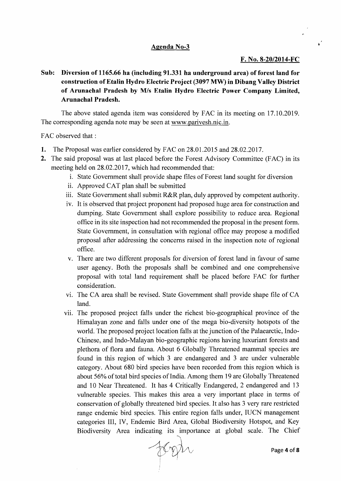### **Agenda No-3**

### **F. No. 8-20/2014-FC**

Sub: Diversion of 1165.66 ha (including 91.331 ha underground area) of forest land for **construction** of Etalin **Hydro Electric Project (3097 MW) in Dibang Valley District of Arunachal Pradesh by MIs Etalin Hydro Electric Power Company Limited, Arunachal Pradesb.** 

The above stated agenda item was considered by FAC in its meeting on 17.10.2019. The corresponding agenda note may be seen at www.parivesh.nic.in.

FAC observed that:

- 1. The Proposal was earlier considered by FAC on 28.01.2015 and 28.02.2017.
- **2.** The said proposal was at last placed before the Forest Advisory Committee (FAC) in its meeting held on 28.02.2017, which had recommended that:
	- i. State Government shall provide shape files of Forest land sought for diversion
	- ii. Approved CAT plan shall be submitted
	- iii. State Government shall submit R&R plan, duly approved by competent authority.
	- iv. It is observed that project proponent had proposed huge area for construction and dumping. State Government shall explore possibility to reduce area. Regional office in its site inspection had not recommended the proposal in the present form. State Government, in consultation with regional office may propose a modified proposal after addressing the concerns raised in the inspection note of regional office.
	- v. There are two different proposals for diversion of forest land in favour of same user agency. Both the proposals shall be combined and one comprehensive proposal with total land requirement shall be placed before FAC for further consideration.
	- vi. The CA area shall be revised. State Government shall provide shape file of CA land.
	- vii. The proposed project falls under the richest bio-geographical province of the Himalayan zone and falls under one of the mega bio-diversity hotspots of the world. The proposed project location falls at the junction of the Palaearctic, Indo-Chinese, and Indo-Malayan bio-geographic regions having luxuriant forests and plethora of flora and fauna. About 6 Globally Threatened mammal species are found in this region of which 3 are endangered and 3 are under vulnerable category. About 680 bird species have been recorded from this region which is about 56% of total bird species of India. Among them 19 are Globally Threatened and 10 Near Threatened. It has 4 Critically Endangered, 2 endangered and 13 vulnerable species. This makes this area a very important place in terms of conservation of globally threatened bird species. It also has 3 very rare restricted range endemic bird species. This entire region falls under, IUCN management categories III, IV, Endemic Bird Area, Global Biodiversity Hotspot, and Key Biodiversity Area indicating its importance at global scale. The Chief

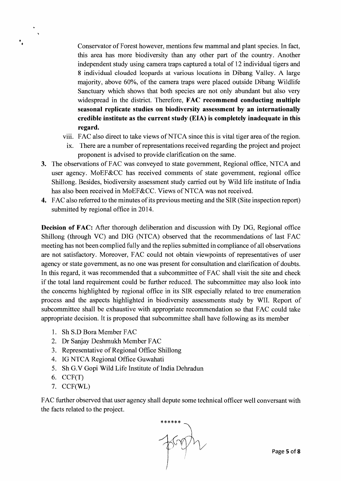Conservator of Forest however, mentions few mammal and plant species. In fact, this area has more biodiversity than any other part of the country. Another independent study using camera traps captured a total of 12 individual tigers and 8 individual clouded leopards at various locations in Dibang Valley. A large majority, above 60%, of the camera traps were placed outside Dibang Wildlife Sanctuary which shows that both species are not only abundant but also very widespread in the district. Therefore, FAC recommend conducting multiple seasonal replicate studies on biodiversity assessment by an internationally credible institute as the current study (EIA) is completely inadequate in this regard.

- viii. FAC also direct to take views of NTCA since this is vital tiger area of the region.
	- ix. There are a number of representations received regarding the project and project proponent is advised to provide clarification on the same.
- 3. The observations of FAC was conveyed to state government, Regional office, NTCA and user agency. MoEF&CC has received comments of state government, regional office Shillong. Besides, biodiversity assessment study carried out by Wild life institute of India has also been received in MoEF&CC. Views of NTCA was not received.
- 4. FAC also referred to the minutes of its previous meeting and the SIR (Site inspection report) submitted by regional office in 2014.

Decision of FAC: After thorough deliberation and discussion with Dy DG, Regional office Shillong (through VC) and DIG (NTCA) observed that the recommendations of last FAC meeting has not been complied fully and the replies submitted in compliance of all observations are not satisfactory. Moreover, FAC could not obtain viewpoints of representatives of user agency or state government, as no one was present for consultation and clarification of doubts. In this regard, it was recommended that a subcommittee of FAC shall visit the site and check if the total land requirement could be further reduced. The subcommittee may also look into the concerns highlighted by regional office in its SIR especially related to tree enumeration process and the aspects highlighted in biodiversity assessments study by WII. Report of subcommittee shall be exhaustive with appropriate recommendation so that FAC could take appropriate decision. It is proposed that subcommittee shall have following as its member

- 1. Sh S.D Bora Member FAC
- 2. Dr Sanjay Deshmukh Member FAC
- 3. Representative of Regional Office Shillong
- 4. IG NTCA Regional Office Guwahati
- 5. Sh G.V Gopi Wild Life Institute of India Dehradun
- 6. CCF(T)

• • ..

7. CCF(WL)

FAC further observed that user agency shall depute some technical officer well conversant with the facts related to the project.

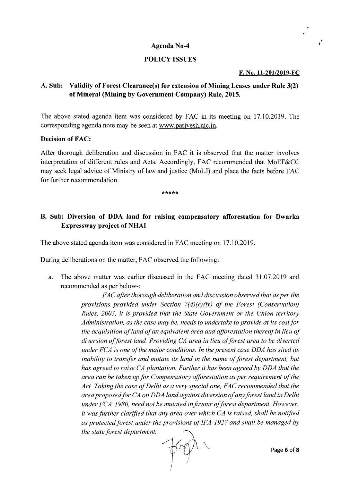#### • **Agenda No-4**

### **POLICY ISSUES**

#### **F. No. 11-20l/2019-FC**

•

## **A. Sub: Validity** of Forest **Clearance(s) for extension** of Mining **Leases under Rule 3(2) of Mineral (Mining by Government Company) Rule, 2015.**

The above stated agenda item was considered by FAC in its meeting on 17.10.2019. The corresponding agenda note may be seen at www.parivesh.nic.in.

#### **Decision of FAC:**

After thorough deliberation and discussion in FAC it is observed that the matter involves interpretation of different rules and Acts. Accordingly, FAC recommended that MoEF&CC may seek legal advice of Ministry of law and justice (MoLl) and place the facts before FAC for further recommendation.

\*\*\*\*\*

## **B. Sub: Diversion of DDA land for raising compensatory afforestation for Dwarka Expressway project of NHAI**

The above stated agenda item was considered in FAC meeting on 17.10.2019.

During deliberations on the matter, FAC observed the following:

a. The above matter was earlier discussed in the FAC meeting dated 31.07.2019 and recommended as per below-:

> *FAC after thorough deliberation and discussion observed that as per the provisions provided under Section 7(4)(e)(iv) of the Forest (Conservation) Rules, 2003, it is provided that the State Government or the Union territory Administration, as the case may be, needs to undertake to provide at its costfor the acquisition of land of an equivalent area and afforestation thereof in lieu of* diversion of forest land. Providing CA area in lieu of forest area to be diverted *under FCA is one ofthe major conditions. In the present case DDA has sited its inability to transfer and mutate its land in the name of forest department, but has agreed to raise CA plantation. Further it has been agreed by DDA that the area can be taken up for Compensatory afforestation as per requirement of the* Act. Taking the case of Delhi as a very special one, FAC recommended that the *area proposedfor CA on DDA land against diversion ofanyforest land in Delhi under FCA-1980, need not be mutated infavour offorest department. However, it was further clarified that any area over which CA is raised, shall be notified as protected forest under the provisions of IFA-1927 and shall be managed by the state forest department.<br>*  $\bigcirc$ as protected forest under the provisions of IFA-1927 and shall be managed by

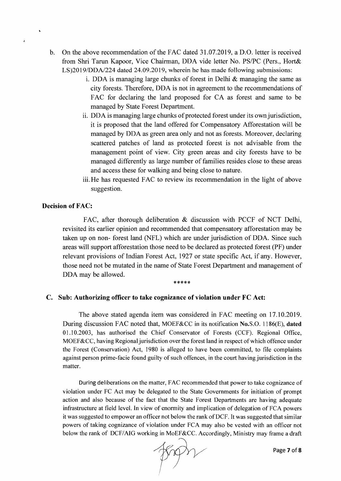- b. On the above recommendation of the FAC dated 31.07.2019, a D.O. letter is received from Shri Tarun Kapoor, Vice Chairman, DDA vide letter No. PS/PC (Pers., Hort& LS)20 *19/DDA/224* dated 24.09.2019, wherein he has made following submissions:
	- i. DDA is managing large chunks of forest in Delhi  $\&$  managing the same as city forests. Therefore, DDA is not in agreement to the recommendations of FAC for declaring the land proposed for CA as forest and same to be managed by State Forest Department.
	- ii. DDA is managing large chunks of protected forest under its own jurisdiction, it is proposed that the land offered for Compensatory Afforestation will be managed by DDA as green area only and not as forests. Moreover, declaring scattered patches of land as protected forest is not advisable from the management point of view. City green areas and city forests have to be managed differently as large number of families resides close to these areas and access these for walking and being close to nature.
	- iii. He has requested FAC to review its recommendation in the light of above suggestion.

### Decision of FAC:

á

FAC, after thorough deliberation & discussion with PCCF of NCT Delhi, revisited its earlier opinion and recommended that compensatory afforestation may be taken up on non- forest land (NFL) which are under jurisdiction of DDA. Since such areas will support afforestation those need to be declared as protected forest (PF) under relevant provisions of Indian Forest Act, 1927 or state specific Act, if any. However, those need not be mutated in the name of State Forest Department and management of DDA may be allowed.

#### \*\*\*\*\*

#### C. Sub: Authorizing officer to take cognizance of violation under FC Act:

The above stated agenda item was considered in FAC meeting on 17.10.2019. During discussion FAC noted that, MOEF&CC in its notification No.S.O. 1186(E), dated 01.10.2003, has authorised the Chief Conservator of Forests (CCF). Regional Office, MOEF&CC, having Regional jurisdiction over the forest land in respect of which offence under the Forest (Conservation) Act, 1980 is alleged to have been committed, to file complaints against person prime-facie found guilty of such offences, in the court having jurisdiction in the matter.

During deliberations on the matter, FAC recommended that power to take cognizance of violation under FC Act may be delegated to the State Governments for initiation of prompt action and also because of the fact that the State Forest Departments are having adequate infrastructure at field level. In view of enormity and implication of delegation of FCA powers it was suggested to empower an officer not below the rank of DCF. It was suggested that similar powers of taking cognizance of violation under FCA may also be vested with an officer not below the rank of DCF/AIG working in MoEF&CC. Accordingly, Ministry may frame a draft